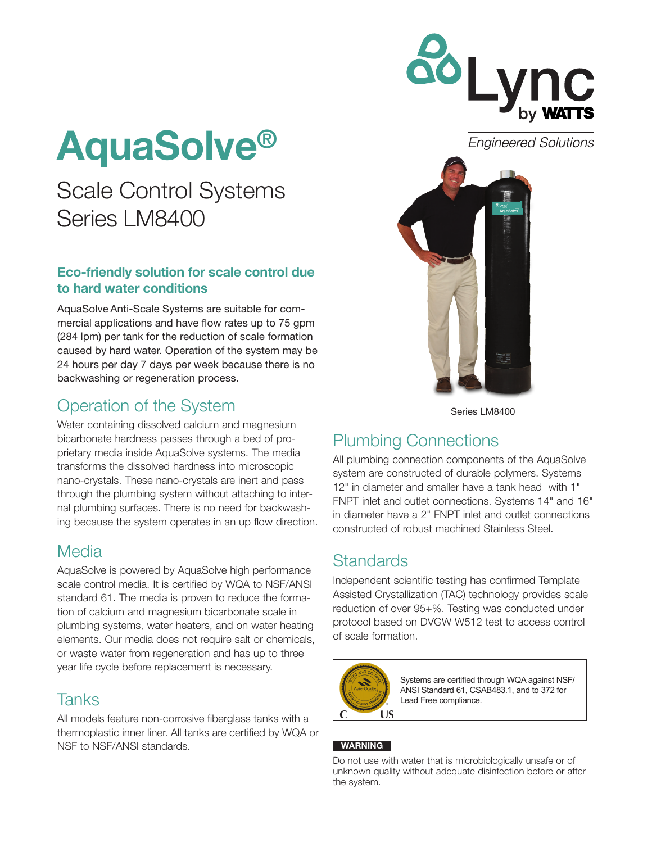

**Engineered Solutions** 

# AquaSolve®

## Scale Control Systems Series LM8400

#### Eco-friendly solution for scale control due to hard water conditions

AquaSolve Anti-Scale Systems are suitable for commercial applications and have flow rates up to 75 gpm (284 lpm) per tank for the reduction of scale formation caused by hard water. Operation of the system may be 24 hours per day 7 days per week because there is no backwashing or regeneration process.

## Operation of the System

Water containing dissolved calcium and magnesium bicarbonate hardness passes through a bed of proprietary media inside AquaSolve systems. The media transforms the dissolved hardness into microscopic nano-crystals. These nano-crystals are inert and pass through the plumbing system without attaching to internal plumbing surfaces. There is no need for backwashing because the system operates in an up flow direction.

#### Media

AquaSolve is powered by AquaSolve high performance scale control media. It is certified by WQA to NSF/ANSI standard 61. The media is proven to reduce the formation of calcium and magnesium bicarbonate scale in plumbing systems, water heaters, and on water heating elements. Our media does not require salt or chemicals, or waste water from regeneration and has up to three year life cycle before replacement is necessary.

#### Tanks

All models feature non-corrosive fiberglass tanks with a thermoplastic inner liner. All tanks are certified by WQA or NSF to NSF/ANSI standards.



Series LM8400

## Plumbing Connections

All plumbing connection components of the AquaSolve system are constructed of durable polymers. Systems 12" in diameter and smaller have a tank head with 1" FNPT inlet and outlet connections. Systems 14" and 16" in diameter have a 2" FNPT inlet and outlet connections constructed of robust machined Stainless Steel.

#### **Standards**

Independent scientific testing has confirmed Template Assisted Crystallization (TAC) technology provides scale reduction of over 95+%. Testing was conducted under protocol based on DVGW W512 test to access control of scale formation.



Systems are certified through WQA against NSF/ ANSI Standard 61, CSAB483.1, and to 372 for Lead Free compliance.

#### WARNING

Do not use with water that is microbiologically unsafe or of unknown quality without adequate disinfection before or after the system.